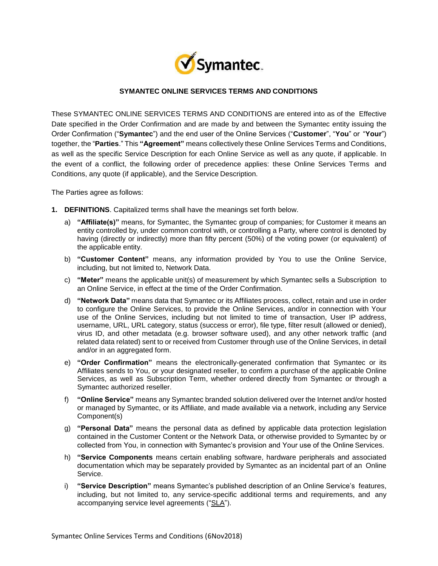

# **SYMANTEC ONLINE SERVICES TERMS AND CONDITIONS**

These SYMANTEC ONLINE SERVICES TERMS AND CONDITIONS are entered into as of the Effective Date specified in the Order Confirmation and are made by and between the Symantec entity issuing the Order Confirmation ("**Symantec**") and the end user of the Online Services ("**Customer**", "**You**" or "**Your**") together, the "**Parties**." This **"Agreement"** means collectively these Online Services Terms and Conditions, as well as the specific Service Description for each Online Service as well as any quote, if applicable. In the event of a conflict, the following order of precedence applies: these Online Services Terms and Conditions, any quote (if applicable), and the Service Description.

The Parties agree as follows:

- **1. DEFINITIONS**. Capitalized terms shall have the meanings set forth below.
	- a) **"Affiliate(s)"** means, for Symantec, the Symantec group of companies; for Customer it means an entity controlled by, under common control with, or controlling a Party, where control is denoted by having (directly or indirectly) more than fifty percent (50%) of the voting power (or equivalent) of the applicable entity.
	- b) **"Customer Content"** means, any information provided by You to use the Online Service, including, but not limited to, Network Data.
	- c) **"Meter"** means the applicable unit(s) of measurement by which Symantec sells a Subscription to an Online Service, in effect at the time of the Order Confirmation.
	- d) **"Network Data"** means data that Symantec or its Affiliates process, collect, retain and use in order to configure the Online Services, to provide the Online Services, and/or in connection with Your use of the Online Services, including but not limited to time of transaction, User IP address, username, URL, URL category, status (success or error), file type, filter result (allowed or denied), virus ID, and other metadata (e.g. browser software used), and any other network traffic (and related data related) sent to or received from Customer through use of the Online Services, in detail and/or in an aggregated form.
	- e) **"Order Confirmation"** means the electronically-generated confirmation that Symantec or its Affiliates sends to You, or your designated reseller, to confirm a purchase of the applicable Online Services, as well as Subscription Term, whether ordered directly from Symantec or through a Symantec authorized reseller.
	- f) **"Online Service"** means any Symantec branded solution delivered over the Internet and/or hosted or managed by Symantec, or its Affiliate, and made available via a network, including any Service Component(s)
	- g) **"Personal Data"** means the personal data as defined by applicable data protection legislation contained in the Customer Content or the Network Data, or otherwise provided to Symantec by or collected from You, in connection with Symantec's provision and Your use of the Online Services.
	- h) **"Service Components** means certain enabling software, hardware peripherals and associated documentation which may be separately provided by Symantec as an incidental part of an Online Service.
	- i) **"Service Description"** means Symantec's published description of an Online Service's features, including, but not limited to, any service-specific additional terms and requirements, and any accompanying service level agreements ("SLA").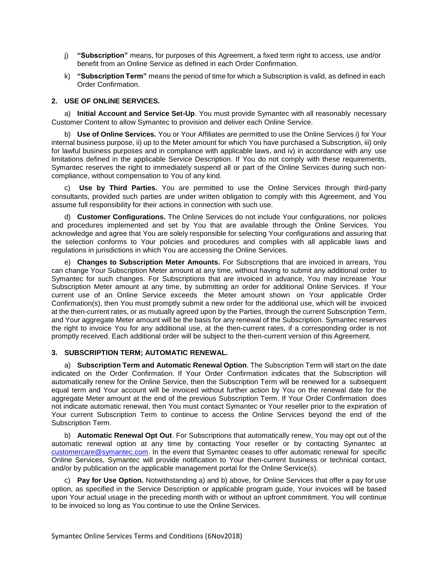- j) **"Subscription"** means, for purposes of this Agreement, a fixed term right to access, use and/or benefit from an Online Service as defined in each Order Confirmation.
- k) **"Subscription Term"** means the period of time for which a Subscription is valid, as defined in each Order Confirmation.

### **2. USE OF ONLINE SERVICES.**

a) **Initial Account and Service Set-Up**. You must provide Symantec with all reasonably necessary Customer Content to allow Symantec to provision and deliver each Online Service.

b) **Use of Online Services.** You or Your Affiliates are permitted to use the Online Services i) for Your internal business purpose, ii) up to the Meter amount for which You have purchased a Subscription, iii) only for lawful business purposes and in compliance with applicable laws, and iv) in accordance with any use limitations defined in the applicable Service Description. If You do not comply with these requirements, Symantec reserves the right to immediately suspend all or part of the Online Services during such noncompliance, without compensation to You of any kind.

c) **Use by Third Parties.** You are permitted to use the Online Services through third-party consultants, provided such parties are under written obligation to comply with this Agreement, and You assume full responsibility for their actions in connection with such use.

d) **Customer Configurations.** The Online Services do not include Your configurations, nor policies and procedures implemented and set by You that are available through the Online Services. You acknowledge and agree that You are solely responsible for selecting Your configurations and assuring that the selection conforms to Your policies and procedures and complies with all applicable laws and regulations in jurisdictions in which You are accessing the Online Services.

e) **Changes to Subscription Meter Amounts.** For Subscriptions that are invoiced in arrears, You can change Your Subscription Meter amount at any time, without having to submit any additional order to Symantec for such changes. For Subscriptions that are invoiced in advance, You may increase Your Subscription Meter amount at any time, by submitting an order for additional Online Services. If Your current use of an Online Service exceeds the Meter amount shown on Your applicable Order Confirmation(s), then You must promptly submit a new order for the additional use, which will be invoiced at the then-current rates, or as mutually agreed upon by the Parties, through the current Subscription Term, and Your aggregate Meter amount will be the basis for any renewal of the Subscription. Symantec reserves the right to invoice You for any additional use, at the then-current rates, if a corresponding order is not promptly received. Each additional order will be subject to the then-current version of this Agreement.

#### **3. SUBSCRIPTION TERM; AUTOMATIC RENEWAL.**

a) **Subscription Term and Automatic Renewal Option**. The Subscription Term will start on the date indicated on the Order Confirmation. If Your Order Confirmation indicates that the Subscription will automatically renew for the Online Service, then the Subscription Term will be renewed for a subsequent equal term and Your account will be invoiced without further action by You on the renewal date for the aggregate Meter amount at the end of the previous Subscription Term. If Your Order Confirmation does not indicate automatic renewal, then You must contact Symantec or Your reseller prior to the expiration of Your current Subscription Term to continue to access the Online Services beyond the end of the Subscription Term.

b) **Automatic Renewal Opt Out**. For Subscriptions that automatically renew, You may opt out of the automatic renewal option at any time by contacting Your reseller or by contacting Symantec at [customercare@symantec.com.](mailto:customercare@symantec.com) In the event that Symantec ceases to offer automatic renewal for specific Online Services, Symantec will provide notification to Your then-current business or technical contact, and/or by publication on the applicable management portal for the Online Service(s).

c) **Pay for Use Option.** Notwithstanding a) and b) above, for Online Services that offer a pay for use option, as specified in the Service Description or applicable program guide, Your invoices will be based upon Your actual usage in the preceding month with or without an upfront commitment. You will continue to be invoiced so long as You continue to use the Online Services.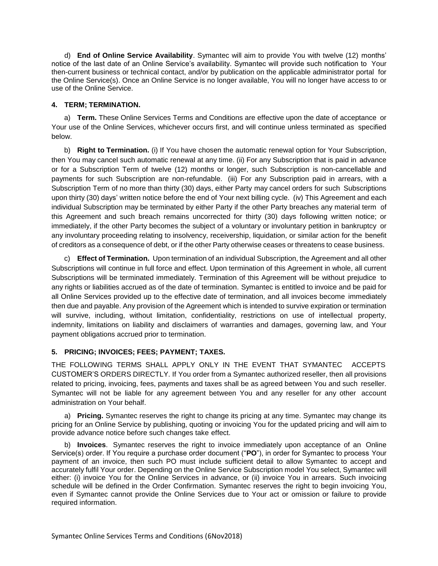d) **End of Online Service Availability**. Symantec will aim to provide You with twelve (12) months' notice of the last date of an Online Service's availability. Symantec will provide such notification to Your then-current business or technical contact, and/or by publication on the applicable administrator portal for the Online Service(s). Once an Online Service is no longer available, You will no longer have access to or use of the Online Service.

### **4. TERM; TERMINATION.**

a) **Term.** These Online Services Terms and Conditions are effective upon the date of acceptance or Your use of the Online Services, whichever occurs first, and will continue unless terminated as specified below.

b) **Right to Termination.** (i) If You have chosen the automatic renewal option for Your Subscription, then You may cancel such automatic renewal at any time. (ii) For any Subscription that is paid in advance or for a Subscription Term of twelve (12) months or longer, such Subscription is non-cancellable and payments for such Subscription are non-refundable. (iii) For any Subscription paid in arrears, with a Subscription Term of no more than thirty (30) days, either Party may cancel orders for such Subscriptions upon thirty (30) days' written notice before the end of Your next billing cycle. (iv) This Agreement and each individual Subscription may be terminated by either Party if the other Party breaches any material term of this Agreement and such breach remains uncorrected for thirty (30) days following written notice; or immediately, if the other Party becomes the subject of a voluntary or involuntary petition in bankruptcy or any involuntary proceeding relating to insolvency, receivership, liquidation, or similar action for the benefit of creditors as a consequence of debt, or if the other Party otherwise ceases or threatens to cease business.

c) **Effect of Termination.** Upon termination of an individual Subscription, the Agreement and all other Subscriptions will continue in full force and effect. Upon termination of this Agreement in whole, all current Subscriptions will be terminated immediately. Termination of this Agreement will be without prejudice to any rights or liabilities accrued as of the date of termination. Symantec is entitled to invoice and be paid for all Online Services provided up to the effective date of termination, and all invoices become immediately then due and payable. Any provision of the Agreement which is intended to survive expiration or termination will survive, including, without limitation, confidentiality, restrictions on use of intellectual property, indemnity, limitations on liability and disclaimers of warranties and damages, governing law, and Your payment obligations accrued prior to termination.

# **5. PRICING; INVOICES; FEES; PAYMENT; TAXES.**

THE FOLLOWING TERMS SHALL APPLY ONLY IN THE EVENT THAT SYMANTEC ACCEPTS CUSTOMER'S ORDERS DIRECTLY. If You order from a Symantec authorized reseller, then all provisions related to pricing, invoicing, fees, payments and taxes shall be as agreed between You and such reseller. Symantec will not be liable for any agreement between You and any reseller for any other account administration on Your behalf.

a) **Pricing.** Symantec reserves the right to change its pricing at any time. Symantec may change its pricing for an Online Service by publishing, quoting or invoicing You for the updated pricing and will aim to provide advance notice before such changes take effect.

b) **Invoices**. Symantec reserves the right to invoice immediately upon acceptance of an Online Service(s) order. If You require a purchase order document ("**PO**"), in order for Symantec to process Your payment of an invoice, then such PO must include sufficient detail to allow Symantec to accept and accurately fulfil Your order. Depending on the Online Service Subscription model You select, Symantec will either: (i) invoice You for the Online Services in advance, or (ii) invoice You in arrears. Such invoicing schedule will be defined in the Order Confirmation. Symantec reserves the right to begin invoicing You, even if Symantec cannot provide the Online Services due to Your act or omission or failure to provide required information.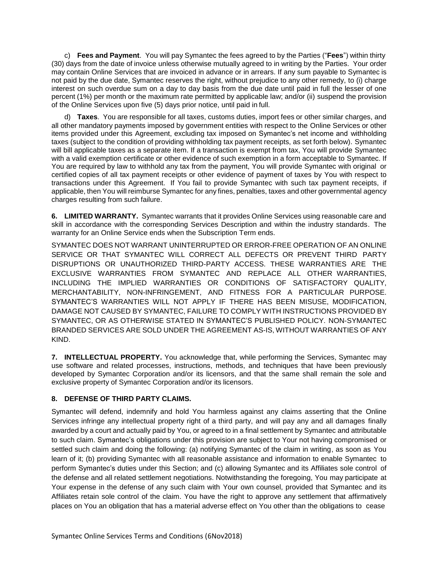c) **Fees and Payment**. You will pay Symantec the fees agreed to by the Parties ("**Fees**") within thirty (30) days from the date of invoice unless otherwise mutually agreed to in writing by the Parties. Your order may contain Online Services that are invoiced in advance or in arrears. If any sum payable to Symantec is not paid by the due date, Symantec reserves the right, without prejudice to any other remedy, to (i) charge interest on such overdue sum on a day to day basis from the due date until paid in full the lesser of one percent (1%) per month or the maximum rate permitted by applicable law; and/or (ii) suspend the provision of the Online Services upon five (5) days prior notice, until paid in full.

d) **Taxes**. You are responsible for all taxes, customs duties, import fees or other similar charges, and all other mandatory payments imposed by government entities with respect to the Online Services or other items provided under this Agreement, excluding tax imposed on Symantec's net income and withholding taxes (subject to the condition of providing withholding tax payment receipts, as set forth below). Symantec will bill applicable taxes as a separate item. If a transaction is exempt from tax, You will provide Symantec with a valid exemption certificate or other evidence of such exemption in a form acceptable to Symantec. If You are required by law to withhold any tax from the payment, You will provide Symantec with original or certified copies of all tax payment receipts or other evidence of payment of taxes by You with respect to transactions under this Agreement. If You fail to provide Symantec with such tax payment receipts, if applicable, then You will reimburse Symantec for any fines, penalties, taxes and other governmental agency charges resulting from such failure.

**6. LIMITED WARRANTY.** Symantec warrants that it provides Online Services using reasonable care and skill in accordance with the corresponding Services Description and within the industry standards. The warranty for an Online Service ends when the Subscription Term ends.

SYMANTEC DOES NOT WARRANT UNINTERRUPTED OR ERROR-FREE OPERATION OF AN ONLINE SERVICE OR THAT SYMANTEC WILL CORRECT ALL DEFECTS OR PREVENT THIRD PARTY DISRUPTIONS OR UNAUTHORIZED THIRD-PARTY ACCESS. THESE WARRANTIES ARE THE EXCLUSIVE WARRANTIES FROM SYMANTEC AND REPLACE ALL OTHER WARRANTIES, INCLUDING THE IMPLIED WARRANTIES OR CONDITIONS OF SATISFACTORY QUALITY, MERCHANTABILITY, NON-INFRINGEMENT, AND FITNESS FOR A PARTICULAR PURPOSE. SYMANTEC'S WARRANTIES WILL NOT APPLY IF THERE HAS BEEN MISUSE, MODIFICATION, DAMAGE NOT CAUSED BY SYMANTEC, FAILURE TO COMPLY WITH INSTRUCTIONS PROVIDED BY SYMANTEC, OR AS OTHERWISE STATED IN SYMANTEC'S PUBLISHED POLICY. NON-SYMANTEC BRANDED SERVICES ARE SOLD UNDER THE AGREEMENT AS-IS, WITHOUT WARRANTIES OF ANY KIND.

**7. INTELLECTUAL PROPERTY.** You acknowledge that, while performing the Services, Symantec may use software and related processes, instructions, methods, and techniques that have been previously developed by Symantec Corporation and/or its licensors, and that the same shall remain the sole and exclusive property of Symantec Corporation and/or its licensors.

# **8. DEFENSE OF THIRD PARTY CLAIMS.**

Symantec will defend, indemnify and hold You harmless against any claims asserting that the Online Services infringe any intellectual property right of a third party, and will pay any and all damages finally awarded by a court and actually paid by You, or agreed to in a final settlement by Symantec and attributable to such claim. Symantec's obligations under this provision are subject to Your not having compromised or settled such claim and doing the following: (a) notifying Symantec of the claim in writing, as soon as You learn of it; (b) providing Symantec with all reasonable assistance and information to enable Symantec to perform Symantec's duties under this Section; and (c) allowing Symantec and its Affiliates sole control of the defense and all related settlement negotiations. Notwithstanding the foregoing, You may participate at Your expense in the defense of any such claim with Your own counsel, provided that Symantec and its Affiliates retain sole control of the claim. You have the right to approve any settlement that affirmatively places on You an obligation that has a material adverse effect on You other than the obligations to cease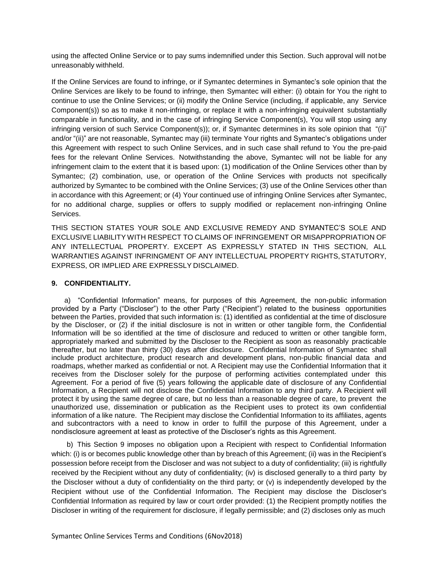using the affected Online Service or to pay sums indemnified under this Section. Such approval will not be unreasonably withheld.

If the Online Services are found to infringe, or if Symantec determines in Symantec's sole opinion that the Online Services are likely to be found to infringe, then Symantec will either: (i) obtain for You the right to continue to use the Online Services; or (ii) modify the Online Service (including, if applicable, any Service Component(s)) so as to make it non-infringing, or replace it with a non-infringing equivalent substantially comparable in functionality, and in the case of infringing Service Component(s), You will stop using any infringing version of such Service Component(s)); or, if Symantec determines in its sole opinion that "(i)" and/or "(ii)" are not reasonable, Symantec may (iii) terminate Your rights and Symantec's obligations under this Agreement with respect to such Online Services, and in such case shall refund to You the pre-paid fees for the relevant Online Services. Notwithstanding the above, Symantec will not be liable for any infringement claim to the extent that it is based upon: (1) modification of the Online Services other than by Symantec; (2) combination, use, or operation of the Online Services with products not specifically authorized by Symantec to be combined with the Online Services; (3) use of the Online Services other than in accordance with this Agreement; or (4) Your continued use of infringing Online Services after Symantec, for no additional charge, supplies or offers to supply modified or replacement non-infringing Online Services.

THIS SECTION STATES YOUR SOLE AND EXCLUSIVE REMEDY AND SYMANTEC'S SOLE AND EXCLUSIVE LIABILITY WITH RESPECT TO CLAIMS OF INFRINGEMENT OR MISAPPROPRIATION OF ANY INTELLECTUAL PROPERTY. EXCEPT AS EXPRESSLY STATED IN THIS SECTION, ALL WARRANTIES AGAINST INFRINGMENT OF ANY INTELLECTUAL PROPERTY RIGHTS, STATUTORY, EXPRESS, OR IMPLIED ARE EXPRESSLY DISCLAIMED.

### **9. CONFIDENTIALITY.**

a) "Confidential Information" means, for purposes of this Agreement, the non-public information provided by a Party ("Discloser") to the other Party ("Recipient") related to the business opportunities between the Parties, provided that such information is: (1) identified as confidential at the time of disclosure by the Discloser, or (2) if the initial disclosure is not in written or other tangible form, the Confidential Information will be so identified at the time of disclosure and reduced to written or other tangible form, appropriately marked and submitted by the Discloser to the Recipient as soon as reasonably practicable thereafter, but no later than thirty (30) days after disclosure. Confidential Information of Symantec shall include product architecture, product research and development plans, non-public financial data and roadmaps, whether marked as confidential or not. A Recipient may use the Confidential Information that it receives from the Discloser solely for the purpose of performing activities contemplated under this Agreement. For a period of five (5) years following the applicable date of disclosure of any Confidential Information, a Recipient will not disclose the Confidential Information to any third party. A Recipient will protect it by using the same degree of care, but no less than a reasonable degree of care, to prevent the unauthorized use, dissemination or publication as the Recipient uses to protect its own confidential information of a like nature. The Recipient may disclose the Confidential Information to its affiliates, agents and subcontractors with a need to know in order to fulfill the purpose of this Agreement, under a nondisclosure agreement at least as protective of the Discloser's rights as this Agreement.

b) This Section 9 imposes no obligation upon a Recipient with respect to Confidential Information which: (i) is or becomes public knowledge other than by breach of this Agreement; (ii) was in the Recipient's possession before receipt from the Discloser and was not subject to a duty of confidentiality; (iii) is rightfully received by the Recipient without any duty of confidentiality; (iv) is disclosed generally to a third party by the Discloser without a duty of confidentiality on the third party; or (v) is independently developed by the Recipient without use of the Confidential Information. The Recipient may disclose the Discloser's Confidential Information as required by law or court order provided: (1) the Recipient promptly notifies the Discloser in writing of the requirement for disclosure, if legally permissible; and (2) discloses only as much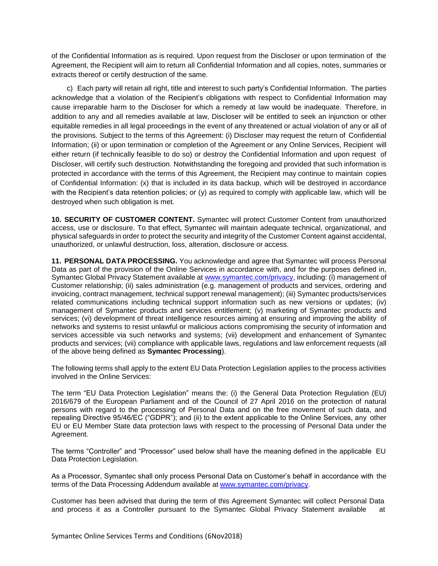of the Confidential Information as is required. Upon request from the Discloser or upon termination of the Agreement, the Recipient will aim to return all Confidential Information and all copies, notes, summaries or extracts thereof or certify destruction of the same.

c) Each party will retain all right, title and interest to such party's Confidential Information. The parties acknowledge that a violation of the Recipient's obligations with respect to Confidential Information may cause irreparable harm to the Discloser for which a remedy at law would be inadequate. Therefore, in addition to any and all remedies available at law, Discloser will be entitled to seek an injunction or other equitable remedies in all legal proceedings in the event of any threatened or actual violation of any or all of the provisions. Subject to the terms of this Agreement: (i) Discloser may request the return of Confidential Information; (ii) or upon termination or completion of the Agreement or any Online Services, Recipient will either return (if technically feasible to do so) or destroy the Confidential Information and upon request of Discloser, will certify such destruction. Notwithstanding the foregoing and provided that such information is protected in accordance with the terms of this Agreement, the Recipient may continue to maintain copies of Confidential Information: (x) that is included in its data backup, which will be destroyed in accordance with the Recipient's data retention policies; or (y) as required to comply with applicable law, which will be destroyed when such obligation is met.

**10. SECURITY OF CUSTOMER CONTENT.** Symantec will protect Customer Content from unauthorized access, use or disclosure. To that effect, Symantec will maintain adequate technical, organizational, and physical safeguards in order to protect the security and integrity of the Customer Content against accidental, unauthorized, or unlawful destruction, loss, alteration, disclosure or access.

**11. PERSONAL DATA PROCESSING.** You acknowledge and agree that Symantec will process Personal Data as part of the provision of the Online Services in accordance with, and for the purposes defined in, Symantec Global Privacy Statement available at [www.symantec.com/privacy,](http://www.symantec.com/privacy) including: (i) management of Customer relationship; (ii) sales administration (e.g. management of products and services, ordering and invoicing, contract management, technical support renewal management); (iii) Symantec products/services related communications including technical support information such as new versions or updates; (iv) management of Symantec products and services entitlement; (v) marketing of Symantec products and services; (vi) development of threat intelligence resources aiming at ensuring and improving the ability of networks and systems to resist unlawful or malicious actions compromising the security of information and services accessible via such networks and systems; (vii) development and enhancement of Symantec products and services; (vii) compliance with applicable laws, regulations and law enforcement requests (all of the above being defined as **Symantec Processing**).

The following terms shall apply to the extent EU Data Protection Legislation applies to the process activities involved in the Online Services:

The term "EU Data Protection Legislation" means the: (i) the General Data Protection Regulation (EU) 2016/679 of the European Parliament and of the Council of 27 April 2016 on the protection of natural persons with regard to the processing of Personal Data and on the free movement of such data, and repealing Directive 95/46/EC ("GDPR"); and (ii) to the extent applicable to the Online Services, any other EU or EU Member State data protection laws with respect to the processing of Personal Data under the Agreement.

The terms "Controller" and "Processor" used below shall have the meaning defined in the applicable EU Data Protection Legislation.

As a Processor, Symantec shall only process Personal Data on Customer's behalf in accordance with the terms of the Data Processing Addendum available at [www.symantec.com/](http://www.symantec.com/)privacy.

Customer has been advised that during the term of this Agreement Symantec will collect Personal Data and process it as a Controller pursuant to the Symantec Global Privacy Statement available at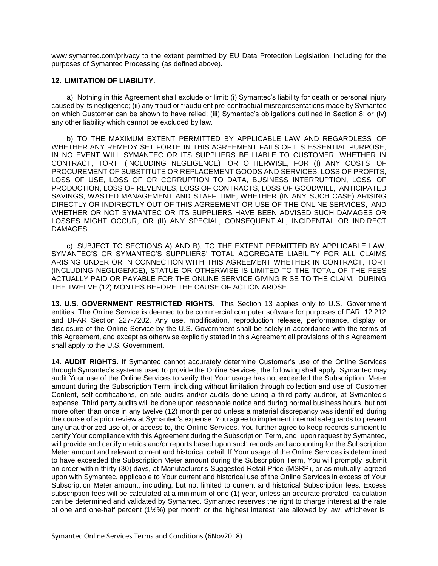[www.symantec.com/privacy](http://www.symantec.com/privacy) to the extent permitted by EU Data Protection Legislation, including for the purposes of Symantec Processing (as defined above).

### **12. LIMITATION OF LIABILITY.**

a) Nothing in this Agreement shall exclude or limit: (i) Symantec's liability for death or personal injury caused by its negligence; (ii) any fraud or fraudulent pre-contractual misrepresentations made by Symantec on which Customer can be shown to have relied; (iii) Symantec's obligations outlined in Section 8; or (iv) any other liability which cannot be excluded by law.

b) TO THE MAXIMUM EXTENT PERMITTED BY APPLICABLE LAW AND REGARDLESS OF WHETHER ANY REMEDY SET FORTH IN THIS AGREEMENT FAILS OF ITS ESSENTIAL PURPOSE, IN NO EVENT WILL SYMANTEC OR ITS SUPPLIERS BE LIABLE TO CUSTOMER, WHETHER IN CONTRACT, TORT (INCLUDING NEGLIGENCE) OR OTHERWISE, FOR (I) ANY COSTS OF PROCUREMENT OF SUBSTITUTE OR REPLACEMENT GOODS AND SERVICES, LOSS OF PROFITS, LOSS OF USE, LOSS OF OR CORRUPTION TO DATA, BUSINESS INTERRUPTION, LOSS OF PRODUCTION, LOSS OF REVENUES, LOSS OF CONTRACTS, LOSS OF GOODWILL, ANTICIPATED SAVINGS, WASTED MANAGEMENT AND STAFF TIME; WHETHER (IN ANY SUCH CASE) ARISING DIRECTLY OR INDIRECTLY OUT OF THIS AGREEMENT OR USE OF THE ONLINE SERVICES, AND WHETHER OR NOT SYMANTEC OR ITS SUPPLIERS HAVE BEEN ADVISED SUCH DAMAGES OR LOSSES MIGHT OCCUR; OR (II) ANY SPECIAL, CONSEQUENTIAL, INCIDENTAL OR INDIRECT DAMAGES.

c) SUBJECT TO SECTIONS A) AND B), TO THE EXTENT PERMITTED BY APPLICABLE LAW, SYMANTEC'S OR SYMANTEC'S SUPPLIERS' TOTAL AGGREGATE LIABILITY FOR ALL CLAIMS ARISING UNDER OR IN CONNECTION WITH THIS AGREEMENT WHETHER IN CONTRACT, TORT (INCLUDING NEGLIGENCE), STATUE OR OTHERWISE IS LIMITED TO THE TOTAL OF THE FEES ACTUALLY PAID OR PAYABLE FOR THE ONLINE SERVICE GIVING RISE TO THE CLAIM, DURING THE TWELVE (12) MONTHS BEFORE THE CAUSE OF ACTION AROSE.

**13. U.S. GOVERNMENT RESTRICTED RIGHTS**. This Section 13 applies only to U.S. Government entities. The Online Service is deemed to be commercial computer software for purposes of FAR 12.212 and DFAR Section 227-7202. Any use, modification, reproduction release, performance, display or disclosure of the Online Service by the U.S. Government shall be solely in accordance with the terms of this Agreement, and except as otherwise explicitly stated in this Agreement all provisions of this Agreement shall apply to the U.S. Government.

**14. AUDIT RIGHTS.** If Symantec cannot accurately determine Customer's use of the Online Services through Symantec's systems used to provide the Online Services, the following shall apply: Symantec may audit Your use of the Online Services to verify that Your usage has not exceeded the Subscription Meter amount during the Subscription Term, including without limitation through collection and use of Customer Content, self-certifications, on-site audits and/or audits done using a third-party auditor, at Symantec's expense. Third party audits will be done upon reasonable notice and during normal business hours, but not more often than once in any twelve (12) month period unless a material discrepancy was identified during the course of a prior review at Symantec's expense. You agree to implement internal safeguards to prevent any unauthorized use of, or access to, the Online Services. You further agree to keep records sufficient to certify Your compliance with this Agreement during the Subscription Term, and, upon request by Symantec, will provide and certify metrics and/or reports based upon such records and accounting for the Subscription Meter amount and relevant current and historical detail. If Your usage of the Online Services is determined to have exceeded the Subscription Meter amount during the Subscription Term, You will promptly submit an order within thirty (30) days, at Manufacturer's Suggested Retail Price (MSRP), or as mutually agreed upon with Symantec, applicable to Your current and historical use of the Online Services in excess of Your Subscription Meter amount, including, but not limited to current and historical Subscription fees. Excess subscription fees will be calculated at a minimum of one (1) year, unless an accurate prorated calculation can be determined and validated by Symantec. Symantec reserves the right to charge interest at the rate of one and one-half percent (1½%) per month or the highest interest rate allowed by law, whichever is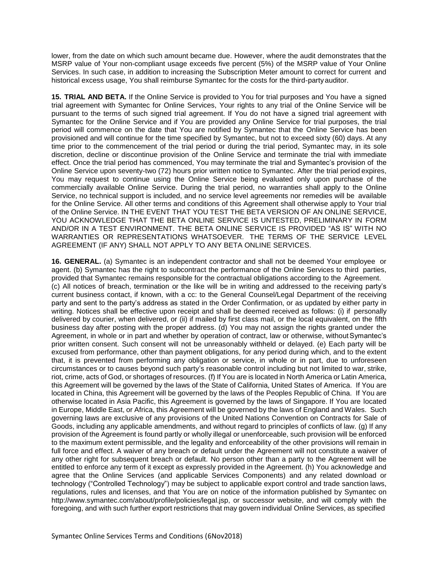lower, from the date on which such amount became due. However, where the audit demonstrates that the MSRP value of Your non-compliant usage exceeds five percent (5%) of the MSRP value of Your Online Services. In such case, in addition to increasing the Subscription Meter amount to correct for current and historical excess usage, You shall reimburse Symantec for the costs for the third-party auditor.

**15. TRIAL AND BETA.** If the Online Service is provided to You for trial purposes and You have a signed trial agreement with Symantec for Online Services, Your rights to any trial of the Online Service will be pursuant to the terms of such signed trial agreement. If You do not have a signed trial agreement with Symantec for the Online Service and if You are provided any Online Service for trial purposes, the trial period will commence on the date that You are notified by Symantec that the Online Service has been provisioned and will continue for the time specified by Symantec, but not to exceed sixty (60) days. At any time prior to the commencement of the trial period or during the trial period, Symantec may, in its sole discretion, decline or discontinue provision of the Online Service and terminate the trial with immediate effect. Once the trial period has commenced, You may terminate the trial and Symantec's provision of the Online Service upon seventy-two (72) hours prior written notice to Symantec. After the trial period expires, You may request to continue using the Online Service being evaluated only upon purchase of the commercially available Online Service. During the trial period, no warranties shall apply to the Online Service, no technical support is included, and no service level agreements nor remedies will be available for the Online Service. All other terms and conditions of this Agreement shall otherwise apply to Your trial of the Online Service. IN THE EVENT THAT YOU TEST THE BETA VERSION OF AN ONLINE SERVICE, YOU ACKNOWLEDGE THAT THE BETA ONLINE SERVICE IS UNTESTED, PRELIMINARY IN FORM AND/OR IN A TEST ENVIRONMENT. THE BETA ONLINE SERVICE IS PROVIDED "AS IS" WITH NO WARRANTIES OR REPRESENTATIONS WHATSOEVER. THE TERMS OF THE SERVICE LEVEL AGREEMENT (IF ANY) SHALL NOT APPLY TO ANY BETA ONLINE SERVICES.

**16. GENERAL.** (a) Symantec is an independent contractor and shall not be deemed Your employee or agent. (b) Symantec has the right to subcontract the performance of the Online Services to third parties, provided that Symantec remains responsible for the contractual obligations according to the Agreement. (c) All notices of breach, termination or the like will be in writing and addressed to the receiving party's current business contact, if known, with a cc: to the General Counsel/Legal Department of the receiving party and sent to the party's address as stated in the Order Confirmation, or as updated by either party in writing. Notices shall be effective upon receipt and shall be deemed received as follows: (i) if personally delivered by courier, when delivered, or (ii) if mailed by first class mail, or the local equivalent, on the fifth business day after posting with the proper address. (d) You may not assign the rights granted under the Agreement, in whole or in part and whether by operation of contract, law or otherwise, withoutSymantec's prior written consent. Such consent will not be unreasonably withheld or delayed. (e) Each party will be excused from performance, other than payment obligations, for any period during which, and to the extent that, it is prevented from performing any obligation or service, in whole or in part, due to unforeseen circumstances or to causes beyond such party's reasonable control including but not limited to war, strike, riot, crime, acts of God, or shortages of resources. (f) If You are is located in North America or Latin America, this Agreement will be governed by the laws of the State of California, United States of America. If You are located in China, this Agreement will be governed by the laws of the Peoples Republic of China. If You are otherwise located in Asia Pacific, this Agreement is governed by the laws of Singapore. If You are located in Europe, Middle East, or Africa, this Agreement will be governed by the laws of England and Wales. Such governing laws are exclusive of any provisions of the United Nations Convention on Contracts for Sale of Goods, including any applicable amendments, and without regard to principles of conflicts of law. (g) If any provision of the Agreement is found partly or wholly illegal or unenforceable, such provision will be enforced to the maximum extent permissible, and the legality and enforceability of the other provisions will remain in full force and effect. A waiver of any breach or default under the Agreement will not constitute a waiver of any other right for subsequent breach or default. No person other than a party to the Agreement will be entitled to enforce any term of it except as expressly provided in the Agreement. (h) You acknowledge and agree that the Online Services (and applicable Services Components) and any related download or technology ("Controlled Technology") may be subject to applicable export control and trade sanction laws, regulations, rules and licenses, and that You are on notice of the information published by Symantec o[n](http://www.symantec.com/about/profile/policies/legal.jsp) [http://www.symantec.com/about/profile/policies/legal.jsp,](http://www.symantec.com/about/profile/policies/legal.jsp) or successor website, and will comply with the foregoing, and with such further export restrictions that may govern individual Online Services, as specified